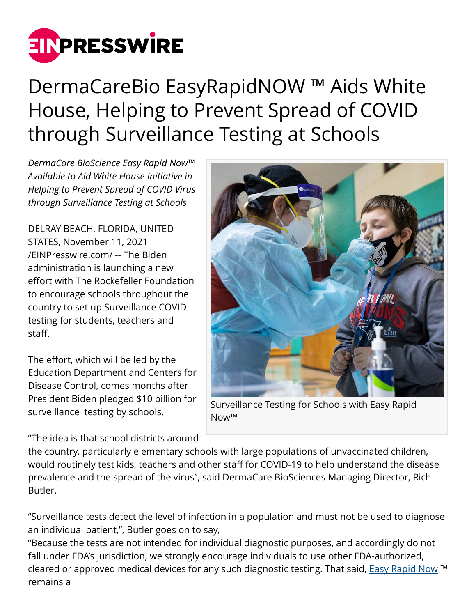

## DermaCareBio EasyRapidNOW ™ Aids White House, Helping to Prevent Spread of COVID through Surveillance Testing at Schools

*DermaCare BioScience Easy Rapid Now™ Available to Aid White House Initiative in Helping to Prevent Spread of COVID Virus through Surveillance Testing at Schools*

DELRAY BEACH, FLORIDA, UNITED STATES, November 11, 2021 [/EINPresswire.com/](http://www.einpresswire.com) -- The Biden administration is launching a new effort with The Rockefeller Foundation to encourage schools throughout the country to set up Surveillance COVID testing for students, teachers and staff.

The effort, which will be led by the Education Department and Centers for Disease Control, comes months after President Biden pledged \$10 billion for surveillance testing by schools.

"The idea is that school districts around



Surveillance Testing for Schools with Easy Rapid Now™

the country, particularly elementary schools with large populations of unvaccinated children, would routinely test kids, teachers and other staff for COVID-19 to help understand the disease prevalence and the spread of the virus", said DermaCare BioSciences Managing Director, Rich Butler.

"Surveillance tests detect the level of infection in a population and must not be used to diagnose an individual patient,", Butler goes on to say,

"Because the tests are not intended for individual diagnostic purposes, and accordingly do not fall under FDA's jurisdiction, we strongly encourage individuals to use other FDA-authorized, cleared or approved medical devices for any such diagnostic testing. That said, [Easy Rapid Now](https://easyrapidnow.com/) ™ remains a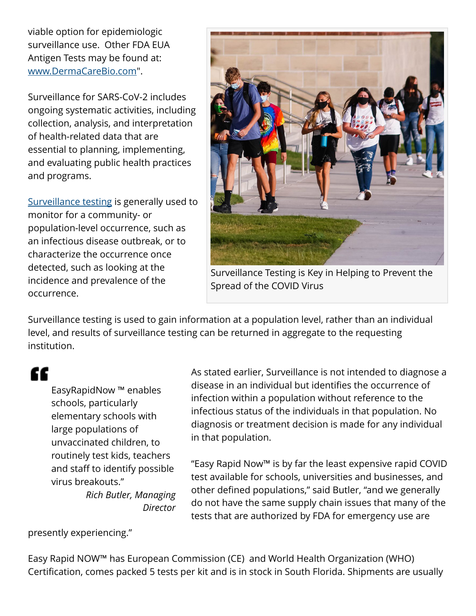viable option for epidemiologic surveillance use. Other FDA EUA Antigen Tests may be found at: [www.DermaCareBio.com"](http://www.DermaCareBio.com).

Surveillance for SARS-CoV-2 includes ongoing systematic activities, including collection, analysis, and interpretation of health-related data that are essential to planning, implementing, and evaluating public health practices and programs.

[Surveillance testing](https://www.fda.gov/medical-devices/coronavirus-covid-19-and-medical-devices/pooled-sample-testing-and-screening-testing-covid-19) is generally used to monitor for a community- or population-level occurrence, such as an infectious disease outbreak, or to characterize the occurrence once detected, such as looking at the incidence and prevalence of the occurrence.



Surveillance Testing is Key in Helping to Prevent the Spread of the COVID Virus

Surveillance testing is used to gain information at a population level, rather than an individual level, and results of surveillance testing can be returned in aggregate to the requesting institution.

## "

EasyRapidNow ™ enables schools, particularly elementary schools with large populations of unvaccinated children, to routinely test kids, teachers and staff to identify possible virus breakouts." *Rich Butler, Managing Director* As stated earlier, Surveillance is not intended to diagnose a disease in an individual but identifies the occurrence of infection within a population without reference to the infectious status of the individuals in that population. No diagnosis or treatment decision is made for any individual in that population.

"Easy Rapid Now™ is by far the least expensive rapid COVID test available for schools, universities and businesses, and other defined populations," said Butler, "and we generally do not have the same supply chain issues that many of the tests that are authorized by FDA for emergency use are

presently experiencing."

Easy Rapid NOW™ has European Commission (CE) and World Health Organization (WHO) Certification, comes packed 5 tests per kit and is in stock in South Florida. Shipments are usually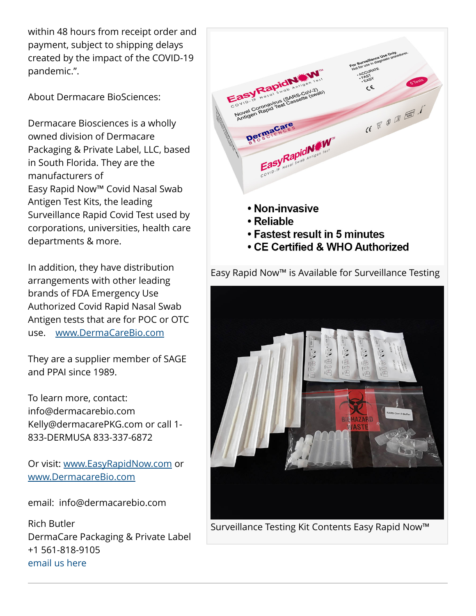within 48 hours from receipt order and payment, subject to shipping delays created by the impact of the COVID-19 pandemic.".

About Dermacare BioSciences:

Dermacare Biosciences is a wholly owned division of Dermacare Packaging & Private Label, LLC, based in South Florida. They are the manufacturers of Easy Rapid Now™ Covid Nasal Swab Antigen Test Kits, the leading Surveillance Rapid Covid Test used by corporations, universities, health care departments & more.

In addition, they have distribution arrangements with other leading brands of FDA Emergency Use Authorized Covid Rapid Nasal Swab Antigen tests that are for POC or OTC use. [www.DermaCareBio.com](http://www.DermaCareBio.com)

They are a supplier member of SAGE and PPAI since 1989.

To learn more, contact: info@dermacarebio.com Kelly@dermacarePKG.com or call 1- 833-DERMUSA 833-337-6872

Or visit: [www.EasyRapidNow.com](http://www.EasyRapidNow.com) or [www.DermacareBio.com](http://www.DermacareBio.com)

email: info@dermacarebio.com

Rich Butler DermaCare Packaging & Private Label +1 561-818-9105 [email us here](http://www.einpresswire.com/contact_author/3190126)





Surveillance Testing Kit Contents Easy Rapid Now™